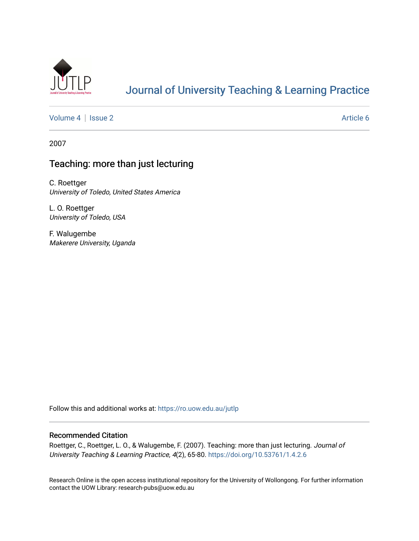

## [Journal of University Teaching & Learning Practice](https://ro.uow.edu.au/jutlp)

[Volume 4](https://ro.uow.edu.au/jutlp/vol4) | [Issue 2](https://ro.uow.edu.au/jutlp/vol4/iss2) Article 6

2007

### Teaching: more than just lecturing

C. Roettger University of Toledo, United States America

L. O. Roettger University of Toledo, USA

F. Walugembe Makerere University, Uganda

Follow this and additional works at: [https://ro.uow.edu.au/jutlp](https://ro.uow.edu.au/jutlp?utm_source=ro.uow.edu.au%2Fjutlp%2Fvol4%2Fiss2%2F6&utm_medium=PDF&utm_campaign=PDFCoverPages) 

#### Recommended Citation

Roettger, C., Roettger, L. O., & Walugembe, F. (2007). Teaching: more than just lecturing. Journal of University Teaching & Learning Practice, 4(2), 65-80.<https://doi.org/10.53761/1.4.2.6>

Research Online is the open access institutional repository for the University of Wollongong. For further information contact the UOW Library: research-pubs@uow.edu.au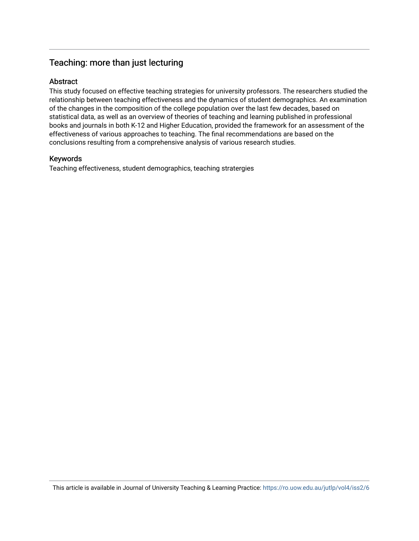### Teaching: more than just lecturing

#### Abstract

This study focused on effective teaching strategies for university professors. The researchers studied the relationship between teaching effectiveness and the dynamics of student demographics. An examination of the changes in the composition of the college population over the last few decades, based on statistical data, as well as an overview of theories of teaching and learning published in professional books and journals in both K-12 and Higher Education, provided the framework for an assessment of the effectiveness of various approaches to teaching. The final recommendations are based on the conclusions resulting from a comprehensive analysis of various research studies.

#### Keywords

Teaching effectiveness, student demographics, teaching stratergies

This article is available in Journal of University Teaching & Learning Practice:<https://ro.uow.edu.au/jutlp/vol4/iss2/6>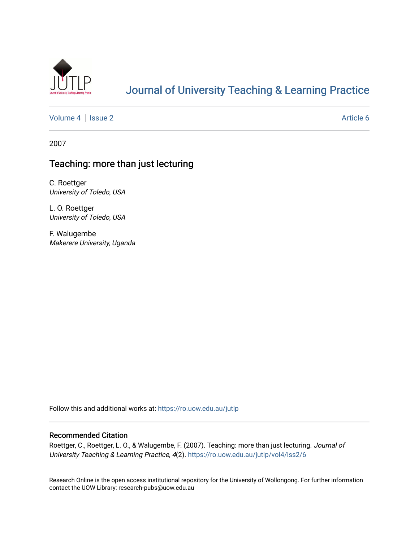

## [Journal of University Teaching & Learning Practice](https://ro.uow.edu.au/jutlp)

[Volume 4](https://ro.uow.edu.au/jutlp/vol4) | [Issue 2](https://ro.uow.edu.au/jutlp/vol4/iss2) Article 6

2007

## Teaching: more than just lecturing

C. Roettger University of Toledo, USA

L. O. Roettger University of Toledo, USA

F. Walugembe Makerere University, Uganda

Follow this and additional works at: [https://ro.uow.edu.au/jutlp](https://ro.uow.edu.au/jutlp?utm_source=ro.uow.edu.au%2Fjutlp%2Fvol4%2Fiss2%2F6&utm_medium=PDF&utm_campaign=PDFCoverPages) 

#### Recommended Citation

Roettger, C., Roettger, L. O., & Walugembe, F. (2007). Teaching: more than just lecturing. Journal of University Teaching & Learning Practice, 4(2). [https://ro.uow.edu.au/jutlp/vol4/iss2/6](https://ro.uow.edu.au/jutlp/vol4/iss2/6?utm_source=ro.uow.edu.au%2Fjutlp%2Fvol4%2Fiss2%2F6&utm_medium=PDF&utm_campaign=PDFCoverPages) 

Research Online is the open access institutional repository for the University of Wollongong. For further information contact the UOW Library: research-pubs@uow.edu.au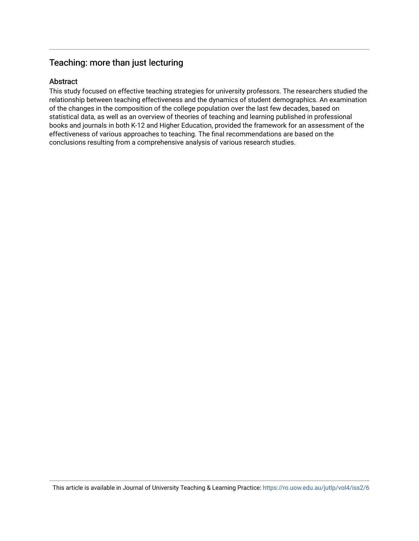### Teaching: more than just lecturing

#### Abstract

This study focused on effective teaching strategies for university professors. The researchers studied the relationship between teaching effectiveness and the dynamics of student demographics. An examination of the changes in the composition of the college population over the last few decades, based on statistical data, as well as an overview of theories of teaching and learning published in professional books and journals in both K-12 and Higher Education, provided the framework for an assessment of the effectiveness of various approaches to teaching. The final recommendations are based on the conclusions resulting from a comprehensive analysis of various research studies.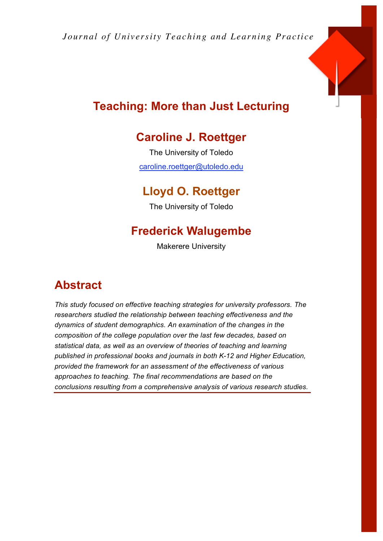*Journal of University Teaching and Learning Practice* 



# **Teaching: More than Just Lecturing**

# **Caroline J. Roettger**

The University of Toledo caroline.roettger@utoledo.edu

# **Lloyd O. Roettger**

The University of Toledo

# **Frederick Walugembe**

Makerere University

# **Abstract**

*This study focused on effective teaching strategies for university professors. The researchers studied the relationship between teaching effectiveness and the dynamics of student demographics. An examination of the changes in the composition of the college population over the last few decades, based on statistical data, as well as an overview of theories of teaching and learning published in professional books and journals in both K-12 and Higher Education, provided the framework for an assessment of the effectiveness of various approaches to teaching. The final recommendations are based on the conclusions resulting from a comprehensive analysis of various research studies.*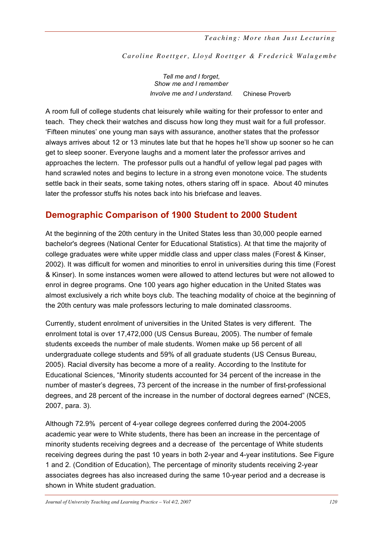Caroline Roettger, Lloyd Roettger & Frederick Walugembe

*Tell me and I forget, Show me and I remember Involve me and I understand.* Chinese Proverb

A room full of college students chat leisurely while waiting for their professor to enter and *Prove* teach. They check their watches and discuss how long they must wait for a full professor. 'Fifteen minutes' one young man says with assurance, another states that the professor always arrives about 12 or 13 minutes late but that he hopes he'll show up sooner so he can get to sleep sooner. Everyone laughs and a moment later the professor arrives and approaches the lectern. The professor pulls out a handful of yellow legal pad pages with hand scrawled notes and begins to lecture in a strong even monotone voice. The students settle back in their seats, some taking notes, others staring off in space. About 40 minutes later the professor stuffs his notes back into his briefcase and leaves.

## **Demographic Comparison of 1900 Student to 2000 Student**

At the beginning of the 20th century in the United States less than 30,000 people earned bachelor's degrees (National Center for Educational Statistics). At that time the majority of college graduates were white upper middle class and upper class males (Forest & Kinser, 2002). It was difficult for women and minorities to enrol in universities during this time (Forest & Kinser). In some instances women were allowed to attend lectures but were not allowed to enrol in degree programs. One 100 years ago higher education in the United States was almost exclusively a rich white boys club. The teaching modality of choice at the beginning of the 20th century was male professors lecturing to male dominated classrooms.

Currently, student enrolment of universities in the United States is very different. The enrolment total is over 17,472,000 (US Census Bureau, 2005). The number of female students exceeds the number of male students. Women make up 56 percent of all undergraduate college students and 59% of all graduate students (US Census Bureau, 2005). Racial diversity has become a more of a reality. According to the Institute for Educational Sciences, "Minority students accounted for 34 percent of the increase in the number of master's degrees, 73 percent of the increase in the number of first-professional degrees, and 28 percent of the increase in the number of doctoral degrees earned" (NCES, 2007, para. 3).

Although 72.9% percent of 4-year college degrees conferred during the 2004-2005 academic year were to White students, there has been an increase in the percentage of minority students receiving degrees and a decrease of the percentage of White students receiving degrees during the past 10 years in both 2-year and 4-year institutions. See Figure 1 and 2. (Condition of Education), The percentage of minority students receiving 2-year associates degrees has also increased during the same 10-year period and a decrease is shown in White student graduation.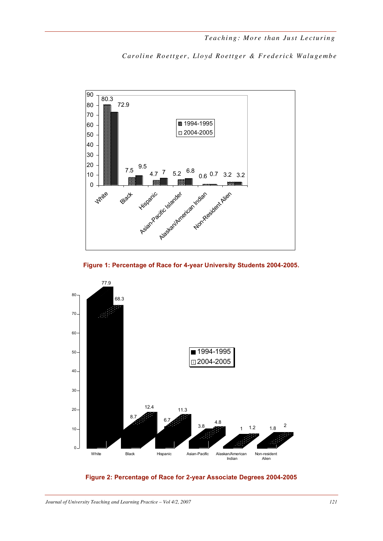





**Figure 2: Percentage of Race for 2-year Associate Degrees 2004-2005**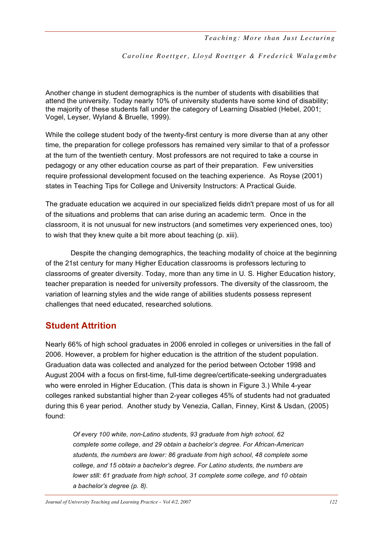Another change in student demographics is the number of students with disabilities that attend the university. Today nearly 10% of university students have some kind of disability; the majority of these students fall under the category of Learning Disabled (Hebel, 2001; Vogel, Leyser, Wyland & Bruelle, 1999).

While the college student body of the twenty-first century is more diverse than at any other time, the preparation for college professors has remained very similar to that of a professor at the turn of the twentieth century. Most professors are not required to take a course in pedagogy or any other education course as part of their preparation. Few universities require professional development focused on the teaching experience. As Royse (2001) states in Teaching Tips for College and University Instructors: A Practical Guide.

The graduate education we acquired in our specialized fields didn't prepare most of us for all of the situations and problems that can arise during an academic term. Once in the classroom, it is not unusual for new instructors (and sometimes very experienced ones, too) to wish that they knew quite a bit more about teaching (p. xiii).

Despite the changing demographics, the teaching modality of choice at the beginning of the 21st century for many Higher Education classrooms is professors lecturing to classrooms of greater diversity. Today, more than any time in U. S. Higher Education history, teacher preparation is needed for university professors. The diversity of the classroom, the variation of learning styles and the wide range of abilities students possess represent challenges that need educated, researched solutions.

## **Student Attrition**

Nearly 66% of high school graduates in 2006 enroled in colleges or universities in the fall of 2006. However, a problem for higher education is the attrition of the student population. Graduation data was collected and analyzed for the period between October 1998 and August 2004 with a focus on first-time, full-time degree/certificate-seeking undergraduates who were enroled in Higher Education. (This data is shown in Figure 3.) While 4-year colleges ranked substantial higher than 2-year colleges 45% of students had not graduated during this 6 year period. Another study by Venezia, Callan, Finney, Kirst & Usdan, (2005) found:

*Of every 100 white, non-Latino students, 93 graduate from high school, 62 complete some college, and 29 obtain a bachelor's degree. For African-American students, the numbers are lower: 86 graduate from high school, 48 complete some college, and 15 obtain a bachelor's degree. For Latino students, the numbers are lower still: 61 graduate from high school, 31 complete some college, and 10 obtain a bachelor's degree (p. 8).*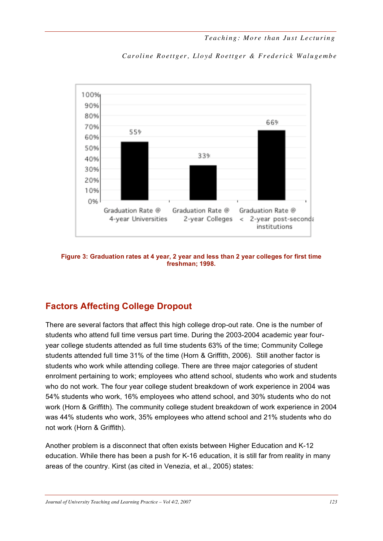

Caroline Roettger, Lloyd Roettger & Frederick Walugembe

**Figure 3: Graduation rates at 4 year, 2 year and less than 2 year colleges for first time freshman; 1998.**

## **Factors Affecting College Dropout**

There are several factors that affect this high college drop-out rate. One is the number of students who attend full time versus part time. During the 2003-2004 academic year fouryear college students attended as full time students 63% of the time; Community College students attended full time 31% of the time (Horn & Griffith, 2006). Still another factor is students who work while attending college. There are three major categories of student enrolment pertaining to work; employees who attend school, students who work and students who do not work. The four year college student breakdown of work experience in 2004 was 54% students who work, 16% employees who attend school, and 30% students who do not work (Horn & Griffith). The community college student breakdown of work experience in 2004 was 44% students who work, 35% employees who attend school and 21% students who do not work (Horn & Griffith).

Another problem is a disconnect that often exists between Higher Education and K-12 education. While there has been a push for K-16 education, it is still far from reality in many areas of the country. Kirst (as cited in Venezia, et al., 2005) states: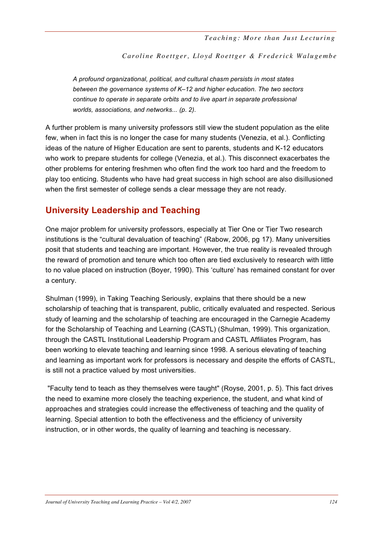Caroline Roettger, Lloyd Roettger & Frederick Walugembe

*A profound organizational, political, and cultural chasm persists in most states between the governance systems of K–12 and higher education. The two sectors continue to operate in separate orbits and to live apart in separate professional worlds, associations, and networks... (p. 2).*

A further problem is many university professors still view the student population as the elite few, when in fact this is no longer the case for many students (Venezia, et al.). Conflicting ideas of the nature of Higher Education are sent to parents, students and K-12 educators who work to prepare students for college (Venezia, et al.). This disconnect exacerbates the other problems for entering freshmen who often find the work too hard and the freedom to play too enticing. Students who have had great success in high school are also disillusioned when the first semester of college sends a clear message they are not ready.

## **University Leadership and Teaching**

One major problem for university professors, especially at Tier One or Tier Two research institutions is the "cultural devaluation of teaching" (Rabow, 2006, pg 17). Many universities posit that students and teaching are important. However, the true reality is revealed through the reward of promotion and tenure which too often are tied exclusively to research with little to no value placed on instruction (Boyer, 1990). This 'culture' has remained constant for over a century.

Shulman (1999), in Taking Teaching Seriously, explains that there should be a new scholarship of teaching that is transparent, public, critically evaluated and respected. Serious study of learning and the scholarship of teaching are encouraged in the Carnegie Academy for the Scholarship of Teaching and Learning (CASTL) (Shulman, 1999). This organization, through the CASTL Institutional Leadership Program and CASTL Affiliates Program, has been working to elevate teaching and learning since 1998. A serious elevating of teaching and learning as important work for professors is necessary and despite the efforts of CASTL, is still not a practice valued by most universities.

"Faculty tend to teach as they themselves were taught" (Royse, 2001, p. 5). This fact drives the need to examine more closely the teaching experience, the student, and what kind of approaches and strategies could increase the effectiveness of teaching and the quality of learning. Special attention to both the effectiveness and the efficiency of university instruction, or in other words, the quality of learning and teaching is necessary.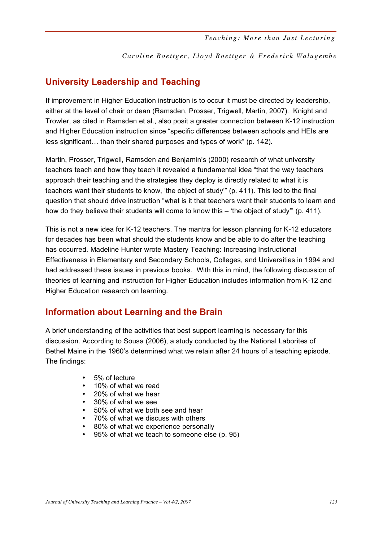## **University Leadership and Teaching**

If improvement in Higher Education instruction is to occur it must be directed by leadership, either at the level of chair or dean (Ramsden, Prosser, Trigwell, Martin, 2007). Knight and Trowler, as cited in Ramsden et al., also posit a greater connection between K-12 instruction and Higher Education instruction since "specific differences between schools and HEIs are less significant… than their shared purposes and types of work" (p. 142).

Martin, Prosser, Trigwell, Ramsden and Benjamin's (2000) research of what university teachers teach and how they teach it revealed a fundamental idea "that the way teachers approach their teaching and the strategies they deploy is directly related to what it is teachers want their students to know, 'the object of study'" (p. 411). This led to the final question that should drive instruction "what is it that teachers want their students to learn and how do they believe their students will come to know this – 'the object of study'" (p. 411).

This is not a new idea for K-12 teachers. The mantra for lesson planning for K-12 educators for decades has been what should the students know and be able to do after the teaching has occurred. Madeline Hunter wrote Mastery Teaching: Increasing Instructional Effectiveness in Elementary and Secondary Schools, Colleges, and Universities in 1994 and had addressed these issues in previous books. With this in mind, the following discussion of theories of learning and instruction for Higher Education includes information from K-12 and Higher Education research on learning.

## **Information about Learning and the Brain**

A brief understanding of the activities that best support learning is necessary for this discussion. According to Sousa (2006), a study conducted by the National Laborites of Bethel Maine in the 1960's determined what we retain after 24 hours of a teaching episode. The findings:

- 5% of lecture
- 10% of what we read
- 20% of what we hear
- 30% of what we see
- 50% of what we both see and hear
- 70% of what we discuss with others
- 80% of what we experience personally
- 95% of what we teach to someone else (p. 95)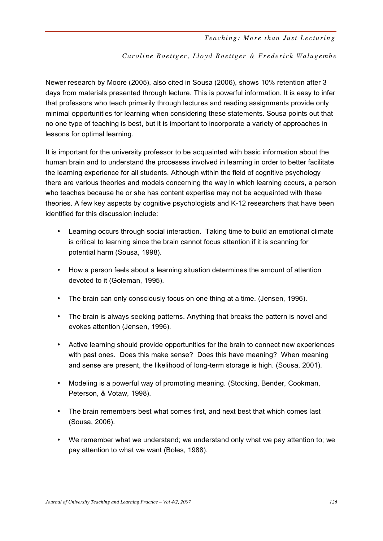#### Caroline Roettger, Lloyd Roettger & Frederick Walugembe

Newer research by Moore (2005), also cited in Sousa (2006), shows 10% retention after 3 days from materials presented through lecture. This is powerful information. It is easy to infer that professors who teach primarily through lectures and reading assignments provide only minimal opportunities for learning when considering these statements. Sousa points out that no one type of teaching is best, but it is important to incorporate a variety of approaches in lessons for optimal learning.

It is important for the university professor to be acquainted with basic information about the human brain and to understand the processes involved in learning in order to better facilitate the learning experience for all students. Although within the field of cognitive psychology there are various theories and models concerning the way in which learning occurs, a person who teaches because he or she has content expertise may not be acquainted with these theories. A few key aspects by cognitive psychologists and K-12 researchers that have been identified for this discussion include:

- Learning occurs through social interaction. Taking time to build an emotional climate is critical to learning since the brain cannot focus attention if it is scanning for potential harm (Sousa, 1998).
- How a person feels about a learning situation determines the amount of attention devoted to it (Goleman, 1995).
- The brain can only consciously focus on one thing at a time. (Jensen, 1996).
- The brain is always seeking patterns. Anything that breaks the pattern is novel and evokes attention (Jensen, 1996).
- Active learning should provide opportunities for the brain to connect new experiences with past ones. Does this make sense? Does this have meaning? When meaning and sense are present, the likelihood of long-term storage is high. (Sousa, 2001).
- Modeling is a powerful way of promoting meaning. (Stocking, Bender, Cookman, Peterson, & Votaw, 1998).
- The brain remembers best what comes first, and next best that which comes last (Sousa, 2006).
- We remember what we understand; we understand only what we pay attention to; we pay attention to what we want (Boles, 1988).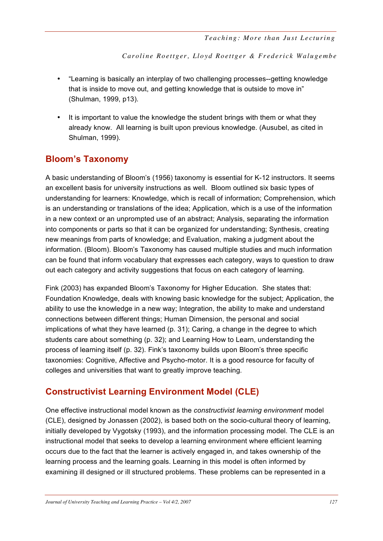- "Learning is basically an interplay of two challenging processes--getting knowledge that is inside to move out, and getting knowledge that is outside to move in" (Shulman, 1999, p13).
- It is important to value the knowledge the student brings with them or what they already know. All learning is built upon previous knowledge. (Ausubel, as cited in Shulman, 1999).

## **Bloom's Taxonomy**

A basic understanding of Bloom's (1956) taxonomy is essential for K-12 instructors. It seems an excellent basis for university instructions as well. Bloom outlined six basic types of understanding for learners: Knowledge, which is recall of information; Comprehension, which is an understanding or translations of the idea; Application, which is a use of the information in a new context or an unprompted use of an abstract; Analysis, separating the information into components or parts so that it can be organized for understanding; Synthesis, creating new meanings from parts of knowledge; and Evaluation, making a judgment about the information. (Bloom). Bloom's Taxonomy has caused multiple studies and much information can be found that inform vocabulary that expresses each category, ways to question to draw out each category and activity suggestions that focus on each category of learning.

Fink (2003) has expanded Bloom's Taxonomy for Higher Education. She states that: Foundation Knowledge, deals with knowing basic knowledge for the subject; Application, the ability to use the knowledge in a new way; Integration, the ability to make and understand connections between different things; Human Dimension, the personal and social implications of what they have learned (p. 31); Caring, a change in the degree to which students care about something (p. 32); and Learning How to Learn, understanding the process of learning itself (p. 32). Fink's taxonomy builds upon Bloom's three specific taxonomies: Cognitive, Affective and Psycho-motor. It is a good resource for faculty of colleges and universities that want to greatly improve teaching.

## **Constructivist Learning Environment Model (CLE)**

One effective instructional model known as the *constructivist learning environment* model (CLE), designed by Jonassen (2002), is based both on the socio-cultural theory of learning, initially developed by Vygotsky (1993), and the information processing model. The CLE is an instructional model that seeks to develop a learning environment where efficient learning occurs due to the fact that the learner is actively engaged in, and takes ownership of the learning process and the learning goals. Learning in this model is often informed by examining ill designed or ill structured problems. These problems can be represented in a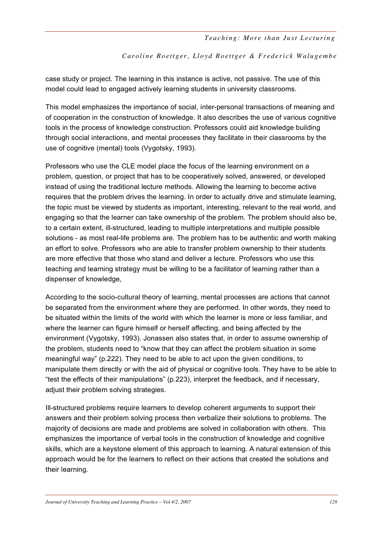Caroline Roettger, Lloyd Roettger & Frederick Walugembe

case study or project. The learning in this instance is active, not passive. The use of this model could lead to engaged actively learning students in university classrooms.

This model emphasizes the importance of social, inter-personal transactions of meaning and of cooperation in the construction of knowledge. It also describes the use of various cognitive tools in the process of knowledge construction. Professors could aid knowledge building through social interactions, and mental processes they facilitate in their classrooms by the use of cognitive (mental) tools (Vygotsky, 1993).

Professors who use the CLE model place the focus of the learning environment on a problem, question, or project that has to be cooperatively solved, answered, or developed instead of using the traditional lecture methods. Allowing the learning to become active requires that the problem drives the learning. In order to actually drive and stimulate learning, the topic must be viewed by students as important, interesting, relevant to the real world, and engaging so that the learner can take ownership of the problem. The problem should also be, to a certain extent, ill-structured, leading to multiple interpretations and multiple possible solutions - as most real-life problems are. The problem has to be authentic and worth making an effort to solve. Professors who are able to transfer problem ownership to their students are more effective that those who stand and deliver a lecture. Professors who use this teaching and learning strategy must be willing to be a facilitator of learning rather than a dispenser of knowledge,

According to the socio-cultural theory of learning, mental processes are actions that cannot be separated from the environment where they are performed. In other words, they need to be situated within the limits of the world with which the learner is more or less familiar, and where the learner can figure himself or herself affecting, and being affected by the environment (Vygotsky, 1993). Jonassen also states that, in order to assume ownership of the problem, students need to "know that they can affect the problem situation in some meaningful way" (p.222). They need to be able to act upon the given conditions, to manipulate them directly or with the aid of physical or cognitive tools. They have to be able to "test the effects of their manipulations" (p.223), interpret the feedback, and if necessary, adjust their problem solving strategies.

Ill-structured problems require learners to develop coherent arguments to support their answers and their problem solving process then verbalize their solutions to problems. The majority of decisions are made and problems are solved in collaboration with others. This emphasizes the importance of verbal tools in the construction of knowledge and cognitive skills, which are a keystone element of this approach to learning. A natural extension of this approach would be for the learners to reflect on their actions that created the solutions and their learning.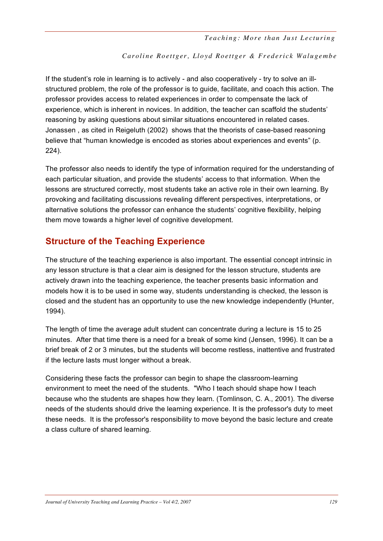#### Caroline Roettger, Lloyd Roettger & Frederick Walugembe

If the student's role in learning is to actively - and also cooperatively - try to solve an illstructured problem, the role of the professor is to guide, facilitate, and coach this action. The professor provides access to related experiences in order to compensate the lack of experience, which is inherent in novices. In addition, the teacher can scaffold the students' reasoning by asking questions about similar situations encountered in related cases. Jonassen , as cited in Reigeluth (2002) shows that the theorists of case-based reasoning believe that "human knowledge is encoded as stories about experiences and events" (p. 224).

The professor also needs to identify the type of information required for the understanding of each particular situation, and provide the students' access to that information. When the lessons are structured correctly, most students take an active role in their own learning. By provoking and facilitating discussions revealing different perspectives, interpretations, or alternative solutions the professor can enhance the students' cognitive flexibility, helping them move towards a higher level of cognitive development.

## **Structure of the Teaching Experience**

The structure of the teaching experience is also important. The essential concept intrinsic in any lesson structure is that a clear aim is designed for the lesson structure, students are actively drawn into the teaching experience, the teacher presents basic information and models how it is to be used in some way, students understanding is checked, the lesson is closed and the student has an opportunity to use the new knowledge independently (Hunter, 1994).

The length of time the average adult student can concentrate during a lecture is 15 to 25 minutes. After that time there is a need for a break of some kind (Jensen, 1996). It can be a brief break of 2 or 3 minutes, but the students will become restless, inattentive and frustrated if the lecture lasts must longer without a break.

Considering these facts the professor can begin to shape the classroom-learning environment to meet the need of the students. "Who I teach should shape how I teach because who the students are shapes how they learn. (Tomlinson, C. A., 2001). The diverse needs of the students should drive the learning experience. It is the professor's duty to meet these needs. It is the professor's responsibility to move beyond the basic lecture and create a class culture of shared learning.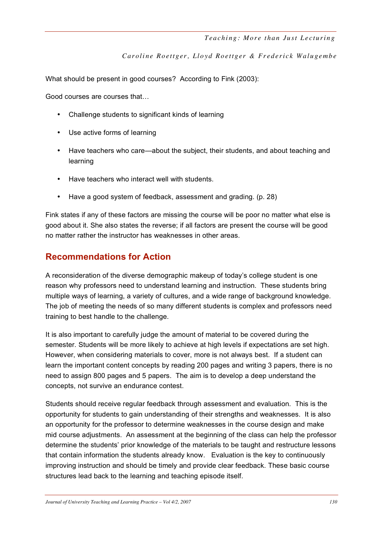What should be present in good courses? According to Fink (2003):

Good courses are courses that…

- Challenge students to significant kinds of learning
- Use active forms of learning
- Have teachers who care—about the subject, their students, and about teaching and learning
- Have teachers who interact well with students.
- Have a good system of feedback, assessment and grading. (p. 28)

Fink states if any of these factors are missing the course will be poor no matter what else is good about it. She also states the reverse; if all factors are present the course will be good no matter rather the instructor has weaknesses in other areas.

## **Recommendations for Action**

A reconsideration of the diverse demographic makeup of today's college student is one reason why professors need to understand learning and instruction. These students bring multiple ways of learning, a variety of cultures, and a wide range of background knowledge. The job of meeting the needs of so many different students is complex and professors need training to best handle to the challenge.

It is also important to carefully judge the amount of material to be covered during the semester. Students will be more likely to achieve at high levels if expectations are set high. However, when considering materials to cover, more is not always best. If a student can learn the important content concepts by reading 200 pages and writing 3 papers, there is no need to assign 800 pages and 5 papers. The aim is to develop a deep understand the concepts, not survive an endurance contest.

Students should receive regular feedback through assessment and evaluation. This is the opportunity for students to gain understanding of their strengths and weaknesses. It is also an opportunity for the professor to determine weaknesses in the course design and make mid course adjustments. An assessment at the beginning of the class can help the professor determine the students' prior knowledge of the materials to be taught and restructure lessons that contain information the students already know. Evaluation is the key to continuously improving instruction and should be timely and provide clear feedback. These basic course structures lead back to the learning and teaching episode itself.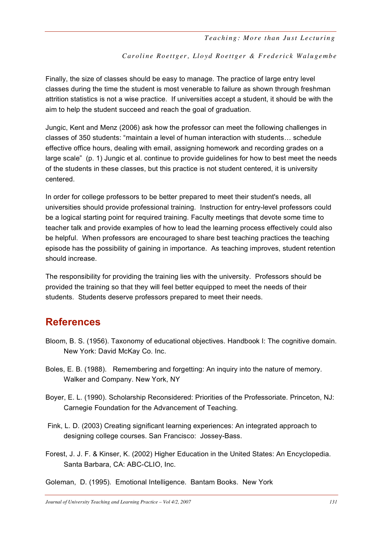#### Caroline Roettger, Lloyd Roettger & Frederick Walugembe

Finally, the size of classes should be easy to manage. The practice of large entry level classes during the time the student is most venerable to failure as shown through freshman attrition statistics is not a wise practice. If universities accept a student, it should be with the aim to help the student succeed and reach the goal of graduation.

Jungic, Kent and Menz (2006) ask how the professor can meet the following challenges in classes of 350 students: "maintain a level of human interaction with students… schedule effective office hours, dealing with email, assigning homework and recording grades on a large scale" (p. 1) Jungic et al. continue to provide guidelines for how to best meet the needs of the students in these classes, but this practice is not student centered, it is university centered.

In order for college professors to be better prepared to meet their student's needs, all universities should provide professional training. Instruction for entry-level professors could be a logical starting point for required training. Faculty meetings that devote some time to teacher talk and provide examples of how to lead the learning process effectively could also be helpful. When professors are encouraged to share best teaching practices the teaching episode has the possibility of gaining in importance. As teaching improves, student retention should increase.

The responsibility for providing the training lies with the university. Professors should be provided the training so that they will feel better equipped to meet the needs of their students. Students deserve professors prepared to meet their needs.

## **References**

- Bloom, B. S. (1956). Taxonomy of educational objectives. Handbook I: The cognitive domain. New York: David McKay Co. Inc.
- Boles, E. B. (1988). Remembering and forgetting: An inquiry into the nature of memory. Walker and Company. New York, NY
- Boyer, E. L. (1990). Scholarship Reconsidered: Priorities of the Professoriate. Princeton, NJ: Carnegie Foundation for the Advancement of Teaching.
- Fink, L. D. (2003) Creating significant learning experiences: An integrated approach to designing college courses. San Francisco: Jossey-Bass.
- Forest, J. J. F. & Kinser, K. (2002) Higher Education in the United States: An Encyclopedia. Santa Barbara, CA: ABC-CLIO, Inc.
- Goleman, D. (1995). Emotional Intelligence. Bantam Books. New York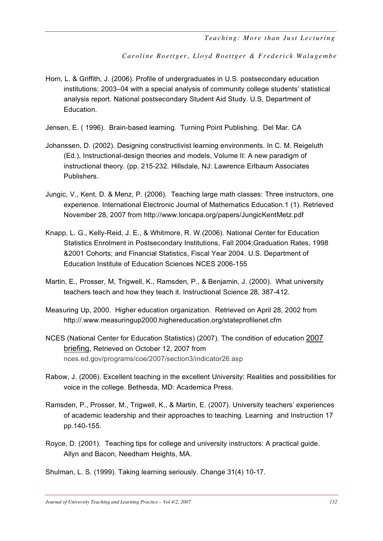Caroline Roettger, Lloyd Roettger & Frederick Walugembe

Horn, L. & Griffith, J. (2006). Profile of undergraduates in U.S. postsecondary education institutions: 2003–04 with a special analysis of community college students' statistical analysis report. National postsecondary Student Aid Study. U.S, Department of Education.

Jensen, E. ( 1996). Brain-based learning. Turning Point Publishing. Del Mar. CA

- Johanssen, D. (2002). Designing constructivist learning environments. In C. M. Reigeluth (Ed.), Instructional-design theories and models, Volume II: A new paradigm of instructional theory. (pp. 215-232. Hillsdale, NJ: Lawrence Erlbaum Associates Publishers.
- Jungic, V., Kent, D. & Menz, P. (2006). Teaching large math classes: Three instructors, one experience. International Electronic Journal of Mathematics Education.1 (1). Retrieved November 28, 2007 from http://www.loncapa.org/papers/JungicKentMetz.pdf
- Knapp, L. G., Kelly-Reid, J. E., & Whitmore, R. W.(2006). National Center for Education Statistics Enrolment in Postsecondary Institutions, Fall 2004;Graduation Rates, 1998 &2001 Cohorts; and Financial Statistics, Fiscal Year 2004. U.S. Department of Education Institute of Education Sciences NCES 2006-155
- Martin, E., Prosser, M, Trigwell, K., Ramsden, P., & Benjamin, J. (2000). What university teachers teach and how they teach it. Instructional Science 28, 387-412.
- Measuring Up, 2000. Higher education organization. Retrieved on April 28, 2002 from http://.www.measuringup2000.highereducation.org/stateprofilenet.cfm
- NCES (National Center for Education Statistics) (2007). The condition of education 2007 briefing, Retrieved on October 12, 2007 from nces.ed.gov/programs/coe/2007/section3/indicator26.asp
- Rabow, J. (2006). Excellent teaching in the excellent University: Realities and possibilities for voice in the college. Bethesda, MD: Academica Press.
- Ramsden, P., Prosser, M., Trigwell, K., & Martin, E. (2007). University teachers' experiences of academic leadership and their approaches to teaching. Learning and Instruction 17 pp.140-155.
- Royce, D. (2001). Teaching tips for college and university instructors: A practical guide. Allyn and Bacon, Needham Heights, MA.

Shulman, L. S. (1999). Taking learning seriously. Change 31(4) 10-17.